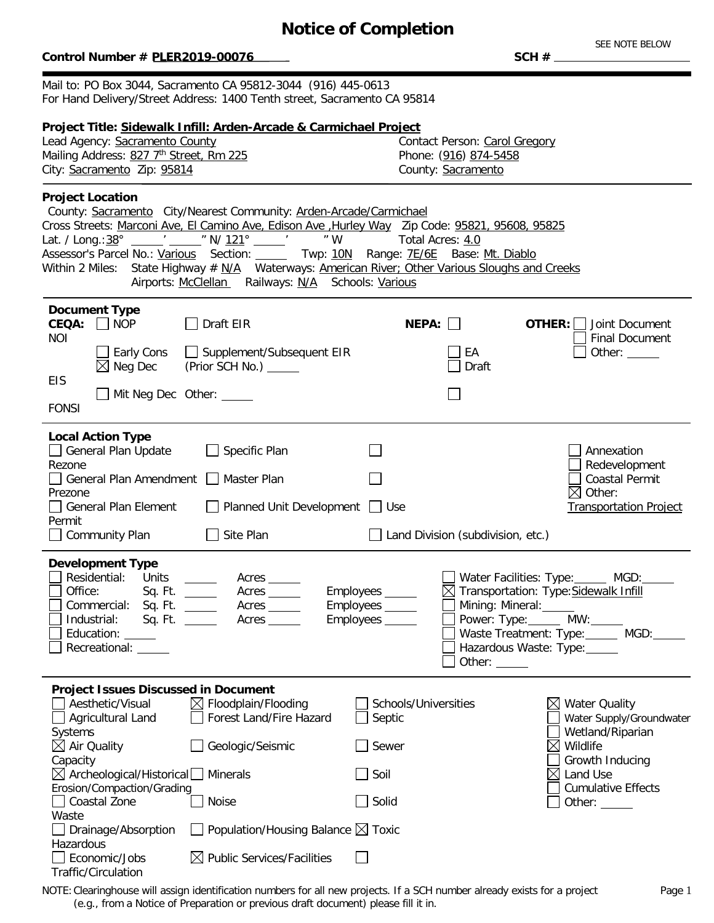# **Notice of Completion**

### $Control$  Number # PLER2019-00076

Traffic/Circulation

SEE NOTE BELOW<br>SCH #

Mail to: PO Box 3044, Sacramento CA 95812-3044 (916) 445-0613 For Hand Delivery/Street Address: 1400 Tenth street, Sacramento CA 95814

| Project Title: Sidewalk Infill: Arden-Arcade & Carmichael Project<br>Lead Agency: Sacramento County<br>Mailing Address: 827 7th Street, Rm 225<br>City: Sacramento Zip: 95814                                                                                                                                                                                                                                                                                                                                 | Contact Person: Carol Gregory<br>Phone: (916) 874-5458<br>County: Sacramento                                                                                                                                                                                             |
|---------------------------------------------------------------------------------------------------------------------------------------------------------------------------------------------------------------------------------------------------------------------------------------------------------------------------------------------------------------------------------------------------------------------------------------------------------------------------------------------------------------|--------------------------------------------------------------------------------------------------------------------------------------------------------------------------------------------------------------------------------------------------------------------------|
| <b>Project Location</b><br>County: Sacramento City/Nearest Community: Arden-Arcade/Carmichael<br>Cross Streets: Marconi Ave, El Camino Ave, Edison Ave, Hurley Way Zip Code: 95821, 95608, 95825<br>Lat. / Long.: 38° _____' _____ " N/ 121° _____' ____ " W<br>Assessor's Parcel No.: Various Section: _____ Twp: 10N Range: 7E/6E Base: Mt. Diablo<br>Within 2 Miles: State Highway # N/A Waterways: American River; Other Various Sloughs and Creeks<br>Airports: McClellan Railways: N/A Schools: Various | Total Acres: 4.0                                                                                                                                                                                                                                                         |
| <b>Document Type</b><br>$CEQA:$ NOP<br>Draft EIR<br><b>NOI</b><br>$\Box$ Early Cons<br>Supplement/Subsequent EIR<br>$\boxtimes$ Neg Dec<br>(Prior SCH No.) ______<br><b>EIS</b><br>$\Box$ Mit Neg Dec Other: $\Box$<br><b>FONSI</b>                                                                                                                                                                                                                                                                           | NEPA:<br>OTHER: $\Box$<br>Joint Document<br><b>Final Document</b><br>EA<br>Other: $\_\_$<br>Draft                                                                                                                                                                        |
| <b>Local Action Type</b><br>□ General Plan Update<br>$\Box$ Specific Plan<br>Rezone<br>□ General Plan Amendment □ Master Plan<br>Prezone<br>□ General Plan Element<br>$\Box$ Planned Unit Development $\Box$ Use<br>Permit<br>Site Plan<br>$\Box$ Community Plan                                                                                                                                                                                                                                              | Annexation<br>Redevelopment<br><b>Coastal Permit</b><br>$\boxtimes$ Other:<br><b>Transportation Project</b><br>$\Box$ Land Division (subdivision, etc.)                                                                                                                  |
| <b>Development Type</b><br>Residential: Units _____<br>Acres<br>Office:<br>Acres<br>Sq. Ft. ______<br>Commercial: Sq. Ft. _____<br>Acres _______<br>Industrial:<br>Sq. Ft. $\_\_\_\_\_\_\_\_\_\_\_\_\_\_\_\_\_\_\_\_\_\_\_\_\_\_\_\_\_\_\_\_\_$<br>Education: _____<br>Recreational: _____                                                                                                                                                                                                                    | Water Facilities: Type: MGD:<br>Employees _____<br>△ Transportation: Type: Sidewalk Infill<br>Employees _____<br>Mining: Mineral:<br>Power: Type:______ MW:_____<br>Employees _____<br>Waste Treatment: Type: _____ MGD: ____<br>Hazardous Waste: Type:<br>Other: $\_\_$ |
| <b>Project Issues Discussed in Document</b><br>Aesthetic/Visual<br>$\boxtimes$ Floodplain/Flooding<br>Forest Land/Fire Hazard<br>Agricultural Land<br>Systems<br>Air Quality<br>Geologic/Seismic<br>Capacity<br>$\boxtimes$ Archeological/Historical $\Box$<br><b>Minerals</b><br>Erosion/Compaction/Grading<br>Coastal Zone<br>Noise<br>Waste<br>Population/Housing Balance $\boxtimes$ Toxic<br>Drainage/Absorption<br>Hazardous<br>$\boxtimes$ Public Services/Facilities<br>Economic/Jobs                 | Schools/Universities<br><b>Water Quality</b><br>Septic<br>Water Supply/Groundwater<br>Wetland/Riparian<br>$\bowtie$<br>Wildlife<br>Sewer<br>Growth Inducing<br>Soil<br>$\boxtimes$<br>Land Use<br><b>Cumulative Effects</b><br>Solid<br>Other:                           |

NOTE:Clearinghouse will assign identification numbers for all new projects. If a SCH number already exists for a project (e.g., from a Notice of Preparation or previous draft document) please fill it in.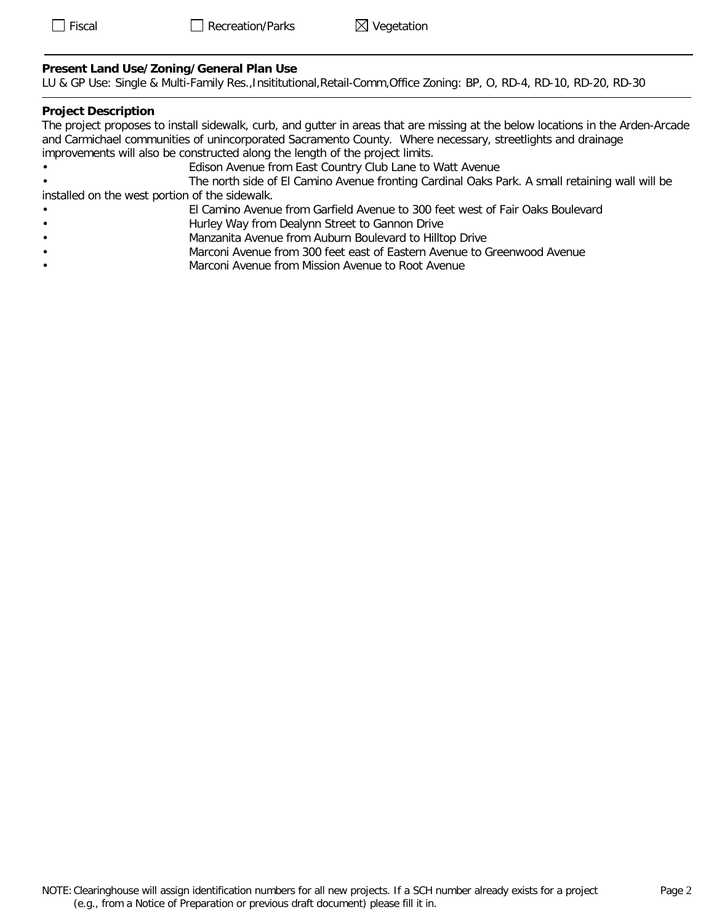## **Present Land Use/Zoning/General Plan Use**

LU & GP Use: Single & Multi-Family Res.,Insititutional,Retail-Comm,Office Zoning: BP, O, RD-4, RD-10, RD-20, RD-30

#### **Project Description**

The project proposes to install sidewalk, curb, and gutter in areas that are missing at the below locations in the Arden-Arcade and Carmichael communities of unincorporated Sacramento County. Where necessary, streetlights and drainage improvements will also be constructed along the length of the project limits.

- Edison Avenue from East Country Club Lane to Watt Avenue
- The north side of El Camino Avenue fronting Cardinal Oaks Park. A small retaining wall will be installed on the west portion of the sidewalk.
	- El Camino Avenue from Garfield Avenue to 300 feet west of Fair Oaks Boulevard
- Hurley Way from Dealynn Street to Gannon Drive
- Manzanita Avenue from Auburn Boulevard to Hilltop Drive
- Marconi Avenue from 300 feet east of Eastern Avenue to Greenwood Avenue
- Marconi Avenue from Mission Avenue to Root Avenue